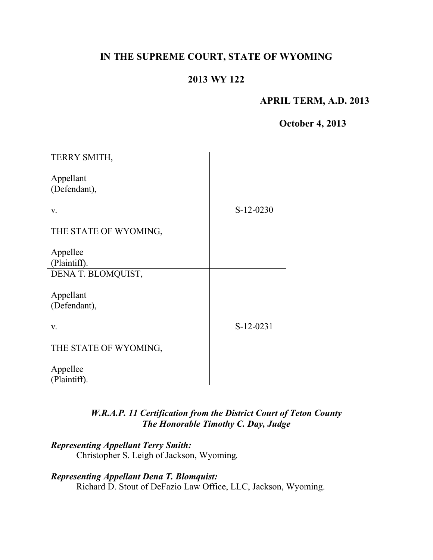# **IN THE SUPREME COURT, STATE OF WYOMING**

# **2013 WY 122**

### **APRIL TERM, A.D. 2013**

**October 4, 2013**

| TERRY SMITH,              |             |
|---------------------------|-------------|
| Appellant<br>(Defendant), |             |
| V.                        | $S-12-0230$ |
| THE STATE OF WYOMING,     |             |
| Appellee                  |             |
| (Plaintiff).              |             |
| DENA T. BLOMQUIST,        |             |
| Appellant                 |             |
| (Defendant),              |             |
| V.                        | S-12-0231   |
| THE STATE OF WYOMING,     |             |
| Appellee<br>(Plaintiff).  |             |
|                           |             |

### *W.R.A.P. 11 Certification from the District Court of Teton County The Honorable Timothy C. Day, Judge*

*Representing Appellant Terry Smith:* Christopher S. Leigh of Jackson, Wyoming.

*Representing Appellant Dena T. Blomquist:* Richard D. Stout of DeFazio Law Office, LLC, Jackson, Wyoming.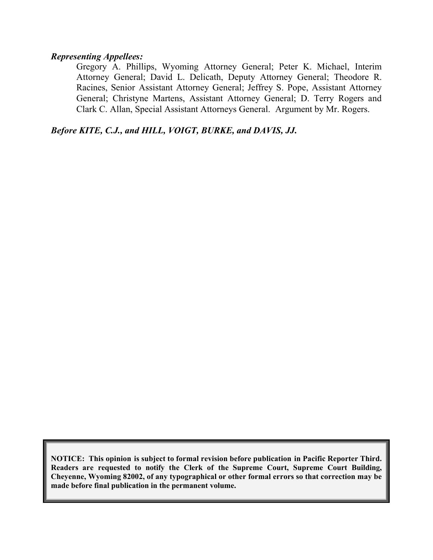#### *Representing Appellees:*

Gregory A. Phillips, Wyoming Attorney General; Peter K. Michael, Interim Attorney General; David L. Delicath, Deputy Attorney General; Theodore R. Racines, Senior Assistant Attorney General; Jeffrey S. Pope, Assistant Attorney General; Christyne Martens, Assistant Attorney General; D. Terry Rogers and Clark C. Allan, Special Assistant Attorneys General. Argument by Mr. Rogers.

*Before KITE, C.J., and HILL, VOIGT, BURKE, and DAVIS, JJ.*

**NOTICE: This opinion is subject to formal revision before publication in Pacific Reporter Third. Readers are requested to notify the Clerk of the Supreme Court, Supreme Court Building, Cheyenne, Wyoming 82002, of any typographical or other formal errors so that correction may be made before final publication in the permanent volume.**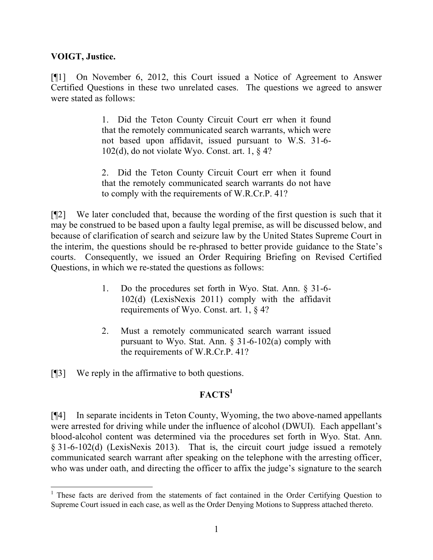#### **VOIGT, Justice.**

[¶1] On November 6, 2012, this Court issued a Notice of Agreement to Answer Certified Questions in these two unrelated cases. The questions we agreed to answer were stated as follows:

> 1. Did the Teton County Circuit Court err when it found that the remotely communicated search warrants, which were not based upon affidavit, issued pursuant to W.S. 31-6- 102(d), do not violate Wyo. Const. art. 1, § 4?

> 2. Did the Teton County Circuit Court err when it found that the remotely communicated search warrants do not have to comply with the requirements of W.R.Cr.P. 41?

[¶2] We later concluded that, because the wording of the first question is such that it may be construed to be based upon a faulty legal premise, as will be discussed below, and because of clarification of search and seizure law by the United States Supreme Court in the interim, the questions should be re-phrased to better provide guidance to the State's courts. Consequently, we issued an Order Requiring Briefing on Revised Certified Questions, in which we re-stated the questions as follows:

- 1. Do the procedures set forth in Wyo. Stat. Ann. § 31-6- 102(d) (LexisNexis 2011) comply with the affidavit requirements of Wyo. Const. art. 1, § 4?
- 2. Must a remotely communicated search warrant issued pursuant to Wyo. Stat. Ann.  $\S 31-6-102(a)$  comply with the requirements of W.R.Cr.P. 41?

[¶3] We reply in the affirmative to both questions.

# $FACTS<sup>1</sup>$

[¶4] In separate incidents in Teton County, Wyoming, the two above-named appellants were arrested for driving while under the influence of alcohol (DWUI). Each appellant's blood-alcohol content was determined via the procedures set forth in Wyo. Stat. Ann. § 31-6-102(d) (LexisNexis 2013). That is, the circuit court judge issued a remotely communicated search warrant after speaking on the telephone with the arresting officer, who was under oath, and directing the officer to affix the judge's signature to the search

 <sup>1</sup> These facts are derived from the statements of fact contained in the Order Certifying Question to Supreme Court issued in each case, as well as the Order Denying Motions to Suppress attached thereto.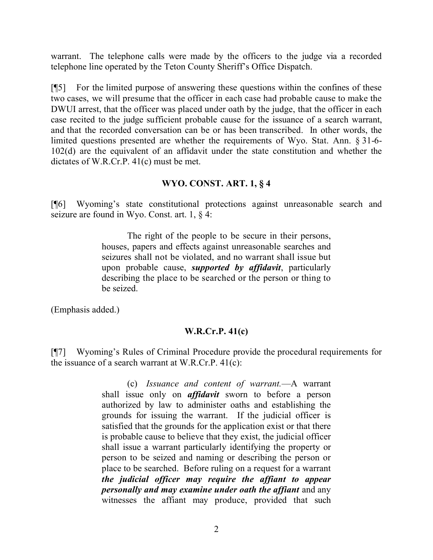warrant. The telephone calls were made by the officers to the judge via a recorded telephone line operated by the Teton County Sheriff's Office Dispatch.

[¶5] For the limited purpose of answering these questions within the confines of these two cases, we will presume that the officer in each case had probable cause to make the DWUI arrest, that the officer was placed under oath by the judge, that the officer in each case recited to the judge sufficient probable cause for the issuance of a search warrant, and that the recorded conversation can be or has been transcribed. In other words, the limited questions presented are whether the requirements of Wyo. Stat. Ann. § 31-6- 102(d) are the equivalent of an affidavit under the state constitution and whether the dictates of W.R.Cr.P. 41(c) must be met.

## **WYO. CONST. ART. 1, § 4**

[¶6] Wyoming's state constitutional protections against unreasonable search and seizure are found in Wyo. Const. art. 1, § 4:

> The right of the people to be secure in their persons, houses, papers and effects against unreasonable searches and seizures shall not be violated, and no warrant shall issue but upon probable cause, *supported by affidavit*, particularly describing the place to be searched or the person or thing to be seized.

(Emphasis added.)

### **W.R.Cr.P. 41(c)**

[¶7] Wyoming's Rules of Criminal Procedure provide the procedural requirements for the issuance of a search warrant at W.R.Cr.P. 41(c):

> (c) *Issuance and content of warrant.*—A warrant shall issue only on *affidavit* sworn to before a person authorized by law to administer oaths and establishing the grounds for issuing the warrant. If the judicial officer is satisfied that the grounds for the application exist or that there is probable cause to believe that they exist, the judicial officer shall issue a warrant particularly identifying the property or person to be seized and naming or describing the person or place to be searched. Before ruling on a request for a warrant *the judicial officer may require the affiant to appear personally and may examine under oath the affiant* and any witnesses the affiant may produce, provided that such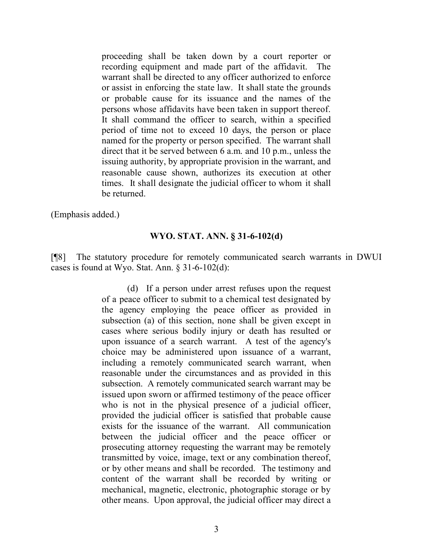proceeding shall be taken down by a court reporter or recording equipment and made part of the affidavit. The warrant shall be directed to any officer authorized to enforce or assist in enforcing the state law. It shall state the grounds or probable cause for its issuance and the names of the persons whose affidavits have been taken in support thereof. It shall command the officer to search, within a specified period of time not to exceed 10 days, the person or place named for the property or person specified. The warrant shall direct that it be served between 6 a.m. and 10 p.m., unless the issuing authority, by appropriate provision in the warrant, and reasonable cause shown, authorizes its execution at other times. It shall designate the judicial officer to whom it shall be returned.

(Emphasis added.)

#### **WYO. STAT. ANN. § 31-6-102(d)**

[¶8] The statutory procedure for remotely communicated search warrants in DWUI cases is found at Wyo. Stat. Ann. § 31-6-102(d):

> (d) If a person under arrest refuses upon the request of a peace officer to submit to a chemical test designated by the agency employing the peace officer as provided in subsection (a) of this section, none shall be given except in cases where serious bodily injury or death has resulted or upon issuance of a search warrant. A test of the agency's choice may be administered upon issuance of a warrant, including a remotely communicated search warrant, when reasonable under the circumstances and as provided in this subsection. A remotely communicated search warrant may be issued upon sworn or affirmed testimony of the peace officer who is not in the physical presence of a judicial officer, provided the judicial officer is satisfied that probable cause exists for the issuance of the warrant. All communication between the judicial officer and the peace officer or prosecuting attorney requesting the warrant may be remotely transmitted by voice, image, text or any combination thereof, or by other means and shall be recorded. The testimony and content of the warrant shall be recorded by writing or mechanical, magnetic, electronic, photographic storage or by other means. Upon approval, the judicial officer may direct a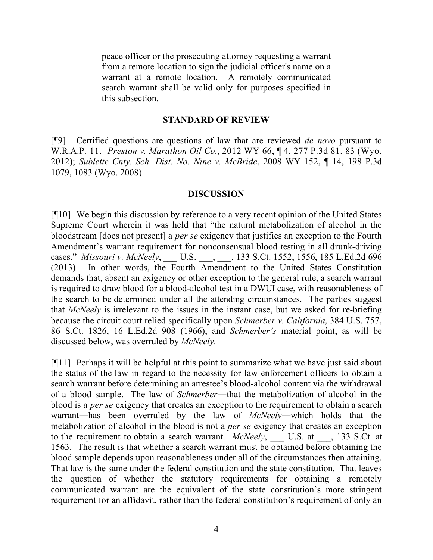peace officer or the prosecuting attorney requesting a warrant from a remote location to sign the judicial officer's name on a warrant at a remote location. A remotely communicated search warrant shall be valid only for purposes specified in this subsection.

#### **STANDARD OF REVIEW**

[¶9] Certified questions are questions of law that are reviewed *de novo* pursuant to W.R.A.P. 11. *Preston v. Marathon Oil Co.*, 2012 WY 66, ¶ 4, 277 P.3d 81, 83 (Wyo. 2012); *Sublette Cnty. Sch. Dist. No. Nine v. McBride*, 2008 WY 152, ¶ 14, 198 P.3d 1079, 1083 (Wyo. 2008).

#### **DISCUSSION**

[¶10] We begin this discussion by reference to a very recent opinion of the United States Supreme Court wherein it was held that "the natural metabolization of alcohol in the bloodstream [does not present] a *per se* exigency that justifies an exception to the Fourth Amendment's warrant requirement for nonconsensual blood testing in all drunk-driving cases." *Missouri v. McNeely*, \_\_\_ U.S. \_\_\_, \_\_\_, 133 S.Ct. 1552, 1556, 185 L.Ed.2d 696 (2013). In other words, the Fourth Amendment to the United States Constitution demands that, absent an exigency or other exception to the general rule, a search warrant is required to draw blood for a blood-alcohol test in a DWUI case, with reasonableness of the search to be determined under all the attending circumstances. The parties suggest that *McNeely* is irrelevant to the issues in the instant case, but we asked for re-briefing because the circuit court relied specifically upon *Schmerber v. California*, 384 U.S. 757, 86 S.Ct. 1826, 16 L.Ed.2d 908 (1966), and *Schmerber's* material point, as will be discussed below, was overruled by *McNeely*.

[¶11] Perhaps it will be helpful at this point to summarize what we have just said about the status of the law in regard to the necessity for law enforcement officers to obtain a search warrant before determining an arrestee's blood-alcohol content via the withdrawal of a blood sample. The law of *Schmerber*―that the metabolization of alcohol in the blood is a *per se* exigency that creates an exception to the requirement to obtain a search warrant―has been overruled by the law of *McNeely*―which holds that the metabolization of alcohol in the blood is not a *per se* exigency that creates an exception to the requirement to obtain a search warrant. *McNeely*, \_\_\_ U.S. at \_\_\_, 133 S.Ct. at 1563. The result is that whether a search warrant must be obtained before obtaining the blood sample depends upon reasonableness under all of the circumstances then attaining. That law is the same under the federal constitution and the state constitution. That leaves the question of whether the statutory requirements for obtaining a remotely communicated warrant are the equivalent of the state constitution's more stringent requirement for an affidavit, rather than the federal constitution's requirement of only an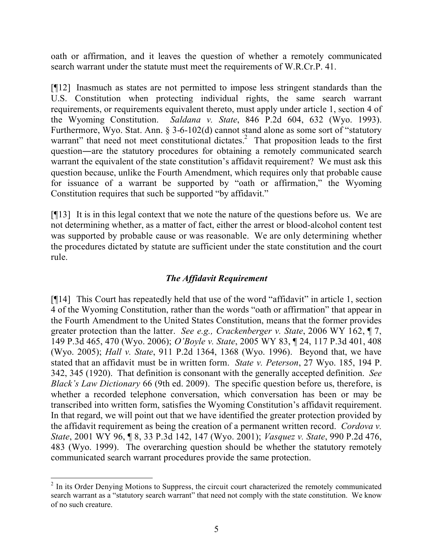oath or affirmation, and it leaves the question of whether a remotely communicated search warrant under the statute must meet the requirements of W.R.Cr.P. 41.

[¶12] Inasmuch as states are not permitted to impose less stringent standards than the U.S. Constitution when protecting individual rights, the same search warrant requirements, or requirements equivalent thereto, must apply under article 1, section 4 of the Wyoming Constitution. *Saldana v. State*, 846 P.2d 604, 632 (Wyo. 1993). Furthermore, Wyo. Stat. Ann. § 3-6-102(d) cannot stand alone as some sort of "statutory warrant" that need not meet constitutional dictates.<sup>2</sup> That proposition leads to the first question―are the statutory procedures for obtaining a remotely communicated search warrant the equivalent of the state constitution's affidavit requirement? We must ask this question because, unlike the Fourth Amendment, which requires only that probable cause for issuance of a warrant be supported by "oath or affirmation," the Wyoming Constitution requires that such be supported "by affidavit."

[¶13] It is in this legal context that we note the nature of the questions before us. We are not determining whether, as a matter of fact, either the arrest or blood-alcohol content test was supported by probable cause or was reasonable. We are only determining whether the procedures dictated by statute are sufficient under the state constitution and the court rule.

# *The Affidavit Requirement*

[¶14] This Court has repeatedly held that use of the word "affidavit" in article 1, section 4 of the Wyoming Constitution, rather than the words "oath or affirmation" that appear in the Fourth Amendment to the United States Constitution, means that the former provides greater protection than the latter. *See e.g., Crackenberger v. State*, 2006 WY 162, ¶ 7, 149 P.3d 465, 470 (Wyo. 2006); *O'Boyle v. State*, 2005 WY 83, ¶ 24, 117 P.3d 401, 408 (Wyo. 2005); *Hall v. State*, 911 P.2d 1364, 1368 (Wyo. 1996). Beyond that, we have stated that an affidavit must be in written form. *State v. Peterson*, 27 Wyo. 185, 194 P. 342, 345 (1920). That definition is consonant with the generally accepted definition. *See Black's Law Dictionary* 66 (9th ed. 2009). The specific question before us, therefore, is whether a recorded telephone conversation, which conversation has been or may be transcribed into written form, satisfies the Wyoming Constitution's affidavit requirement. In that regard, we will point out that we have identified the greater protection provided by the affidavit requirement as being the creation of a permanent written record. *Cordova v. State*, 2001 WY 96, ¶ 8, 33 P.3d 142, 147 (Wyo. 2001); *Vasquez v. State*, 990 P.2d 476, 483 (Wyo. 1999). The overarching question should be whether the statutory remotely communicated search warrant procedures provide the same protection.

 <sup>2</sup> In its Order Denying Motions to Suppress, the circuit court characterized the remotely communicated search warrant as a "statutory search warrant" that need not comply with the state constitution. We know of no such creature.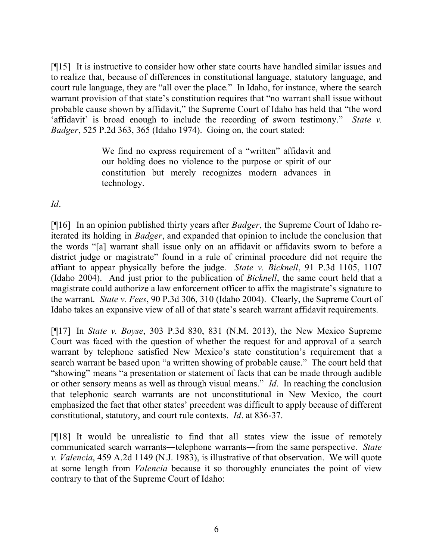[¶15] It is instructive to consider how other state courts have handled similar issues and to realize that, because of differences in constitutional language, statutory language, and court rule language, they are "all over the place." In Idaho, for instance, where the search warrant provision of that state's constitution requires that "no warrant shall issue without probable cause shown by affidavit," the Supreme Court of Idaho has held that "the word 'affidavit' is broad enough to include the recording of sworn testimony." *State v. Badger*, 525 P.2d 363, 365 (Idaho 1974). Going on, the court stated:

> We find no express requirement of a "written" affidavit and our holding does no violence to the purpose or spirit of our constitution but merely recognizes modern advances in technology.

*Id*.

[¶16] In an opinion published thirty years after *Badger*, the Supreme Court of Idaho reiterated its holding in *Badger*, and expanded that opinion to include the conclusion that the words "[a] warrant shall issue only on an affidavit or affidavits sworn to before a district judge or magistrate" found in a rule of criminal procedure did not require the affiant to appear physically before the judge. *State v. Bicknell*, 91 P.3d 1105, 1107 (Idaho 2004). And just prior to the publication of *Bicknell*, the same court held that a magistrate could authorize a law enforcement officer to affix the magistrate's signature to the warrant. *State v. Fees*, 90 P.3d 306, 310 (Idaho 2004). Clearly, the Supreme Court of Idaho takes an expansive view of all of that state's search warrant affidavit requirements.

[¶17] In *State v. Boyse*, 303 P.3d 830, 831 (N.M. 2013), the New Mexico Supreme Court was faced with the question of whether the request for and approval of a search warrant by telephone satisfied New Mexico's state constitution's requirement that a search warrant be based upon "a written showing of probable cause." The court held that "showing" means "a presentation or statement of facts that can be made through audible or other sensory means as well as through visual means." *Id*. In reaching the conclusion that telephonic search warrants are not unconstitutional in New Mexico, the court emphasized the fact that other states' precedent was difficult to apply because of different constitutional, statutory, and court rule contexts. *Id*. at 836-37.

[¶18] It would be unrealistic to find that all states view the issue of remotely communicated search warrants―telephone warrants―from the same perspective. *State v. Valencia*, 459 A.2d 1149 (N.J. 1983), is illustrative of that observation. We will quote at some length from *Valencia* because it so thoroughly enunciates the point of view contrary to that of the Supreme Court of Idaho: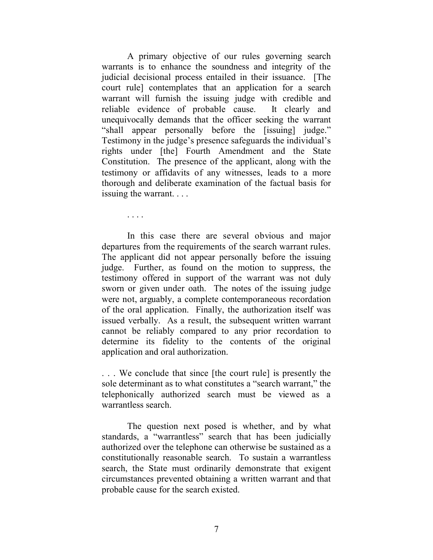A primary objective of our rules governing search warrants is to enhance the soundness and integrity of the judicial decisional process entailed in their issuance. [The court rule] contemplates that an application for a search warrant will furnish the issuing judge with credible and reliable evidence of probable cause. It clearly and unequivocally demands that the officer seeking the warrant "shall appear personally before the [issuing] judge." Testimony in the judge's presence safeguards the individual's rights under [the] Fourth Amendment and the State Constitution. The presence of the applicant, along with the testimony or affidavits of any witnesses, leads to a more thorough and deliberate examination of the factual basis for issuing the warrant. . . .

In this case there are several obvious and major departures from the requirements of the search warrant rules. The applicant did not appear personally before the issuing judge. Further, as found on the motion to suppress, the testimony offered in support of the warrant was not duly sworn or given under oath. The notes of the issuing judge were not, arguably, a complete contemporaneous recordation of the oral application. Finally, the authorization itself was issued verbally. As a result, the subsequent written warrant cannot be reliably compared to any prior recordation to determine its fidelity to the contents of the original application and oral authorization.

. . . We conclude that since [the court rule] is presently the sole determinant as to what constitutes a "search warrant," the telephonically authorized search must be viewed as a warrantless search.

The question next posed is whether, and by what standards, a "warrantless" search that has been judicially authorized over the telephone can otherwise be sustained as a constitutionally reasonable search. To sustain a warrantless search, the State must ordinarily demonstrate that exigent circumstances prevented obtaining a written warrant and that probable cause for the search existed.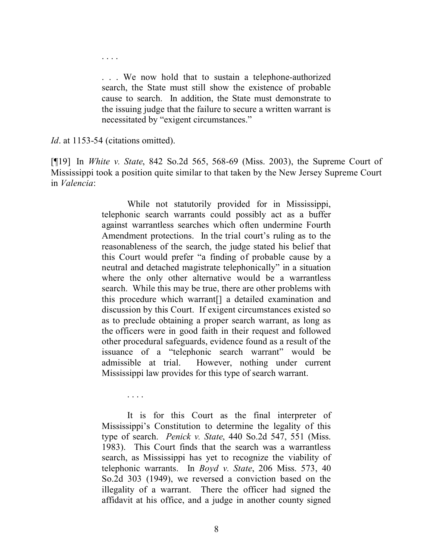. . . We now hold that to sustain a telephone-authorized search, the State must still show the existence of probable cause to search. In addition, the State must demonstrate to the issuing judge that the failure to secure a written warrant is necessitated by "exigent circumstances."

*Id*. at 1153-54 (citations omitted).

. . . .

. . . .

[¶19] In *White v. State*, 842 So.2d 565, 568-69 (Miss. 2003), the Supreme Court of Mississippi took a position quite similar to that taken by the New Jersey Supreme Court in *Valencia*:

> While not statutorily provided for in Mississippi, telephonic search warrants could possibly act as a buffer against warrantless searches which often undermine Fourth Amendment protections. In the trial court's ruling as to the reasonableness of the search, the judge stated his belief that this Court would prefer "a finding of probable cause by a neutral and detached magistrate telephonically" in a situation where the only other alternative would be a warrantless search. While this may be true, there are other problems with this procedure which warrant[] a detailed examination and discussion by this Court. If exigent circumstances existed so as to preclude obtaining a proper search warrant, as long as the officers were in good faith in their request and followed other procedural safeguards, evidence found as a result of the issuance of a "telephonic search warrant" would be admissible at trial. However, nothing under current Mississippi law provides for this type of search warrant.

> It is for this Court as the final interpreter of Mississippi's Constitution to determine the legality of this type of search. *Penick v. State*, 440 So.2d 547, 551 (Miss. 1983). This Court finds that the search was a warrantless search, as Mississippi has yet to recognize the viability of telephonic warrants. In *Boyd v. State*, 206 Miss. 573, 40 So.2d 303 (1949), we reversed a conviction based on the illegality of a warrant. There the officer had signed the affidavit at his office, and a judge in another county signed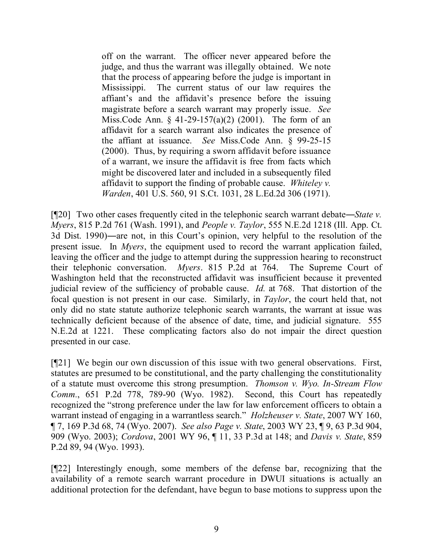off on the warrant. The officer never appeared before the judge, and thus the warrant was illegally obtained. We note that the process of appearing before the judge is important in Mississippi. The current status of our law requires the affiant's and the affidavit's presence before the issuing magistrate before a search warrant may properly issue. *See* Miss.Code Ann. § 41-29-157(a)(2) (2001). The form of an affidavit for a search warrant also indicates the presence of the affiant at issuance. *See* Miss.Code Ann. § 99-25-15 (2000). Thus, by requiring a sworn affidavit before issuance of a warrant, we insure the affidavit is free from facts which might be discovered later and included in a subsequently filed affidavit to support the finding of probable cause. *Whiteley v. Warden*, 401 U.S. 560, 91 S.Ct. 1031, 28 L.Ed.2d 306 (1971).

[¶20] Two other cases frequently cited in the telephonic search warrant debate―*State v. Myers*, 815 P.2d 761 (Wash. 1991), and *People v. Taylor*, 555 N.E.2d 1218 (Ill. App. Ct. 3d Dist. 1990)―are not, in this Court's opinion, very helpful to the resolution of the present issue. In *Myers*, the equipment used to record the warrant application failed, leaving the officer and the judge to attempt during the suppression hearing to reconstruct their telephonic conversation. *Myers*. 815 P.2d at 764. The Supreme Court of Washington held that the reconstructed affidavit was insufficient because it prevented judicial review of the sufficiency of probable cause. *Id.* at 768. That distortion of the focal question is not present in our case. Similarly, in *Taylor*, the court held that, not only did no state statute authorize telephonic search warrants, the warrant at issue was technically deficient because of the absence of date, time, and judicial signature. 555 N.E.2d at 1221. These complicating factors also do not impair the direct question presented in our case.

[¶21] We begin our own discussion of this issue with two general observations. First, statutes are presumed to be constitutional, and the party challenging the constitutionality of a statute must overcome this strong presumption. *Thomson v. Wyo. In-Stream Flow Comm.*, 651 P.2d 778, 789-90 (Wyo. 1982). Second, this Court has repeatedly recognized the "strong preference under the law for law enforcement officers to obtain a warrant instead of engaging in a warrantless search." *Holzheuser v. State*, 2007 WY 160, ¶ 7, 169 P.3d 68, 74 (Wyo. 2007). *See also Page v. State*, 2003 WY 23, ¶ 9, 63 P.3d 904, 909 (Wyo. 2003); *Cordova*, 2001 WY 96, ¶ 11, 33 P.3d at 148; and *Davis v. State*, 859 P.2d 89, 94 (Wyo. 1993).

[¶22] Interestingly enough, some members of the defense bar, recognizing that the availability of a remote search warrant procedure in DWUI situations is actually an additional protection for the defendant, have begun to base motions to suppress upon the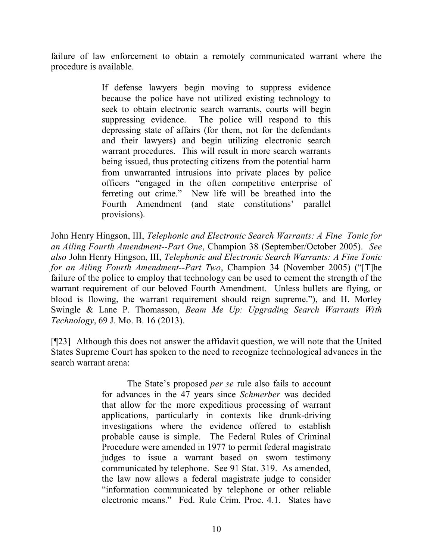failure of law enforcement to obtain a remotely communicated warrant where the procedure is available.

> If defense lawyers begin moving to suppress evidence because the police have not utilized existing technology to seek to obtain electronic search warrants, courts will begin suppressing evidence. The police will respond to this depressing state of affairs (for them, not for the defendants and their lawyers) and begin utilizing electronic search warrant procedures. This will result in more search warrants being issued, thus protecting citizens from the potential harm from unwarranted intrusions into private places by police officers "engaged in the often competitive enterprise of ferreting out crime." New life will be breathed into the Fourth Amendment (and state constitutions' parallel provisions).

John Henry Hingson, III, *Telephonic and Electronic Search Warrants: A Fine Tonic for an Ailing Fourth Amendment--Part One*, Champion 38 (September/October 2005). *See also* John Henry Hingson, III, *Telephonic and Electronic Search Warrants: A Fine Tonic for an Ailing Fourth Amendment--Part Two*, Champion 34 (November 2005) ("[T]he failure of the police to employ that technology can be used to cement the strength of the warrant requirement of our beloved Fourth Amendment. Unless bullets are flying, or blood is flowing, the warrant requirement should reign supreme."), and H. Morley Swingle & Lane P. Thomasson, *Beam Me Up: Upgrading Search Warrants With Technology*, 69 J. Mo. B. 16 (2013).

[¶23] Although this does not answer the affidavit question, we will note that the United States Supreme Court has spoken to the need to recognize technological advances in the search warrant arena:

> The State's proposed *per se* rule also fails to account for advances in the 47 years since *Schmerber* was decided that allow for the more expeditious processing of warrant applications, particularly in contexts like drunk-driving investigations where the evidence offered to establish probable cause is simple. The Federal Rules of Criminal Procedure were amended in 1977 to permit federal magistrate judges to issue a warrant based on sworn testimony communicated by telephone. See 91 Stat. 319. As amended, the law now allows a federal magistrate judge to consider "information communicated by telephone or other reliable electronic means." Fed. Rule Crim. Proc. 4.1. States have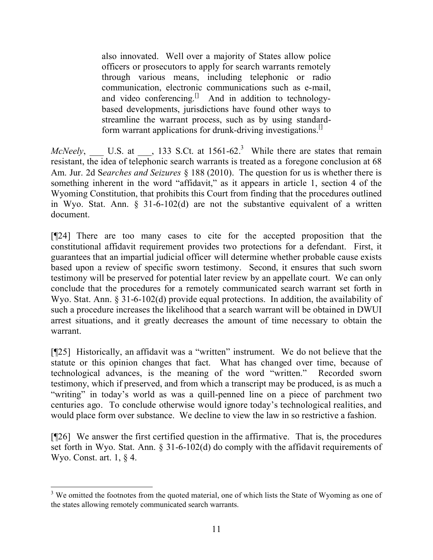also innovated. Well over a majority of States allow police officers or prosecutors to apply for search warrants remotely through various means, including telephonic or radio communication, electronic communications such as e-mail, and video conferencing.<sup>[]</sup> And in addition to technologybased developments, jurisdictions have found other ways to streamline the warrant process, such as by using standardform warrant applications for drunk-driving investigations.<sup>[1]</sup>

*McNeely*, U.S. at  $\blacksquare$ , 133 S.Ct. at 1561-62.<sup>3</sup> While there are states that remain resistant, the idea of telephonic search warrants is treated as a foregone conclusion at 68 Am. Jur. 2d S*earches and Seizures* § 188 (2010). The question for us is whether there is something inherent in the word "affidavit," as it appears in article 1, section 4 of the Wyoming Constitution, that prohibits this Court from finding that the procedures outlined in Wyo. Stat. Ann. § 31-6-102(d) are not the substantive equivalent of a written document.

[¶24] There are too many cases to cite for the accepted proposition that the constitutional affidavit requirement provides two protections for a defendant. First, it guarantees that an impartial judicial officer will determine whether probable cause exists based upon a review of specific sworn testimony. Second, it ensures that such sworn testimony will be preserved for potential later review by an appellate court. We can only conclude that the procedures for a remotely communicated search warrant set forth in Wyo. Stat. Ann. § 31-6-102(d) provide equal protections. In addition, the availability of such a procedure increases the likelihood that a search warrant will be obtained in DWUI arrest situations, and it greatly decreases the amount of time necessary to obtain the warrant.

[¶25] Historically, an affidavit was a "written" instrument. We do not believe that the statute or this opinion changes that fact. What has changed over time, because of technological advances, is the meaning of the word "written." Recorded sworn testimony, which if preserved, and from which a transcript may be produced, is as much a "writing" in today's world as was a quill-penned line on a piece of parchment two centuries ago. To conclude otherwise would ignore today's technological realities, and would place form over substance. We decline to view the law in so restrictive a fashion.

[¶26] We answer the first certified question in the affirmative. That is, the procedures set forth in Wyo. Stat. Ann. § 31-6-102(d) do comply with the affidavit requirements of Wyo. Const. art. 1, § 4.

 <sup>3</sup> We omitted the footnotes from the quoted material, one of which lists the State of Wyoming as one of the states allowing remotely communicated search warrants.